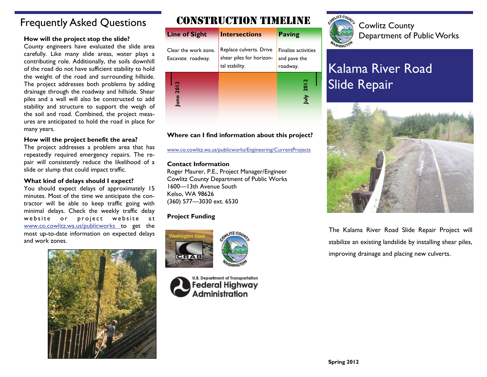### Frequently Asked Questions

County engineers have evaluated the slide area carefully. Like many slide areas, water plays a contributing role. Additionally, the soils downhill of the road do not have sufficient stability to hold the weight of the road and surrounding hillside. The project addresses both problems by adding drainage through the roadway and hillside. Shear piles and a wall will also be constructed to add stability and structure to support the weigh of the soil and road. Combined, the project measures are anticipated to hold the road in place for many years.

### **How will the project benefit the area?**

The project addresses a problem area that has repeatedly required emergency repairs. The repair will consistently reduce the likelihood of a slide or slump that could impact traffic.

#### **What kind of delays should I expect?**

You should expect delays of approximately 15 minutes. Most of the time we anticipate the contractor will be able to keep traffic going with minimal delays. Check the weekly traffic delay website or project website at [www.co.cowlitz.wa.us/publicworks](http://www.co.cowlitz.wa.us/publicworks/Engineering/CurrentProjects.htm) to get the most up-to-date information on expected delays and work zones.



## CONSTRUCTION TIMELINE

| How will the project stop the slide?                                                                                                                                                                             | <b>Line of Sight</b>                      | <b>Intersections</b>                                                  | <b>Paving</b>                                   | COMMLA COUNTY<br><b>Department of Public Works</b> |
|------------------------------------------------------------------------------------------------------------------------------------------------------------------------------------------------------------------|-------------------------------------------|-----------------------------------------------------------------------|-------------------------------------------------|----------------------------------------------------|
| County engineers have evaluated the slide area<br>carefully. Like many slide areas, water plays a<br>contributing role. Additionally, the soils downhill<br>of the road do not have sufficient stability to hold | Clear the work zone.<br>Excavate roadway. | Replace culverts. Drive<br>shear piles for horizon-<br>tal stability. | Finalize activities<br>and pave the<br>roadway. | WASHINGTO<br>Kalama River Road                     |
| the weight of the road and surrounding hillside.<br>The project addresses both problems by adding<br>drainage through the roadway and hillside. Shear<br>piles and a wall will also be constructed to add        | $\overline{\mathbf{C}}$                   |                                                                       | 2012<br>July                                    | <b>Slide Repair</b>                                |
| stability and structure to support the weigh of<br>the soil and road. Combined, the project meas-<br>ures are anticipated to hold the road in place for                                                          |                                           |                                                                       |                                                 |                                                    |

### **Where can I find information about this project?**

[www.co.cowlitz.wa.us/publicworks/Engineering/CurrentProjects](http://www.co.cowlitz.wa.us/publicworks/Engineering/CurrentProjects.htm)

### **Contact Information**

Roger Maurer, P.E., Project Manager/Engineer Cowlitz County Department of Public Works 1600—13th Avenue South Kelso, WA 98626 (360) 577—3030 ext. 6530

### **Project Funding**







Cowlitz County

# Kalama River Road Slide Repair



The Kalama River Road Slide Repair Project will stabilize an existing landslide by installing shear piles, improving drainage and placing new culverts.